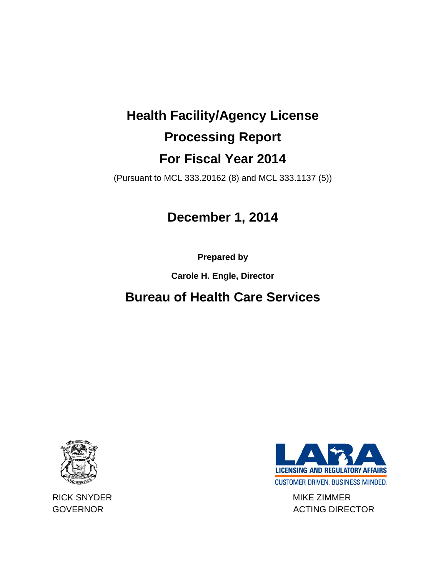# **Health Facility/Agency License Processing Report For Fiscal Year 2014**

(Pursuant to MCL 333.20162 (8) and MCL 333.1137 (5))

### **December 1, 2014**

**Prepared by** 

**Carole H. Engle, Director**

## **Bureau of Health Care Services**





RICK SNYDER MIKE ZIMMER GOVERNOR GOVERNOR ACTING DIRECTOR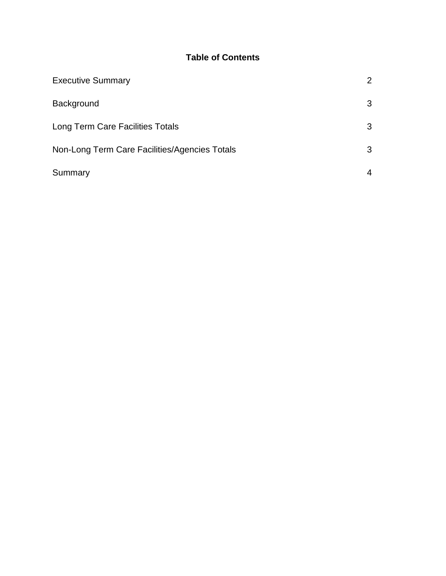### **Table of Contents**

| <b>Executive Summary</b>                      | $\overline{2}$ |
|-----------------------------------------------|----------------|
| Background                                    | 3              |
| Long Term Care Facilities Totals              | 3              |
| Non-Long Term Care Facilities/Agencies Totals | 3              |
| Summary                                       | 4              |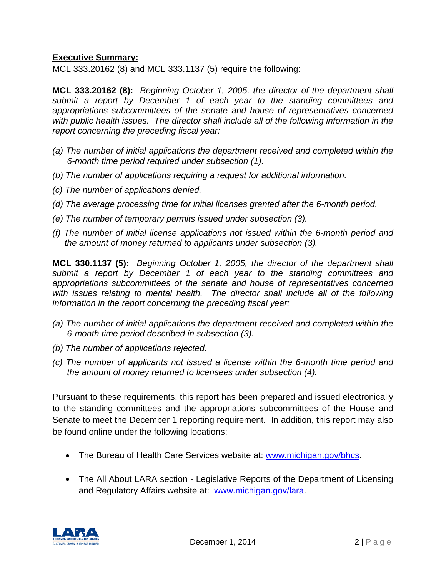#### **Executive Summary:**

MCL 333.20162 (8) and MCL 333.1137 (5) require the following:

**MCL 333.20162 (8):** *Beginning October 1, 2005, the director of the department shall submit a report by December 1 of each year to the standing committees and appropriations subcommittees of the senate and house of representatives concerned with public health issues. The director shall include all of the following information in the report concerning the preceding fiscal year:*

- *(a) The number of initial applications the department received and completed within the 6-month time period required under subsection (1).*
- *(b) The number of applications requiring a request for additional information.*
- *(c) The number of applications denied.*
- *(d) The average processing time for initial licenses granted after the 6-month period.*
- *(e) The number of temporary permits issued under subsection (3).*
- *(f) The number of initial license applications not issued within the 6-month period and the amount of money returned to applicants under subsection (3).*

**MCL 330.1137 (5):** *Beginning October 1, 2005, the director of the department shall submit a report by December 1 of each year to the standing committees and appropriations subcommittees of the senate and house of representatives concerned with issues relating to mental health. The director shall include all of the following information in the report concerning the preceding fiscal year:*

- *(a) The number of initial applications the department received and completed within the 6-month time period described in subsection (3).*
- *(b) The number of applications rejected.*
- *(c) The number of applicants not issued a license within the 6-month time period and the amount of money returned to licensees under subsection (4).*

Pursuant to these requirements, this report has been prepared and issued electronically to the standing committees and the appropriations subcommittees of the House and Senate to meet the December 1 reporting requirement. In addition, this report may also be found online under the following locations:

- The Bureau of Health Care Services website at: [www.michigan.gov/bhcs.](http://www.michigan.gov/bhcs)
- The All About LARA section Legislative Reports of the Department of Licensing and Regulatory Affairs website at: [www.michigan.gov/lara.](http://www.michigan.gov/lara)

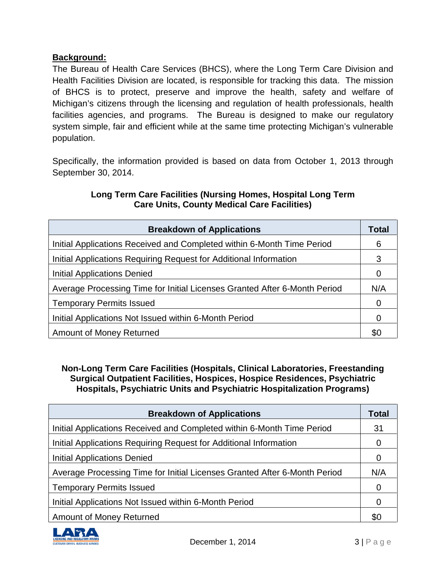#### **Background:**

The Bureau of Health Care Services (BHCS), where the Long Term Care Division and Health Facilities Division are located, is responsible for tracking this data. The mission of BHCS is to protect, preserve and improve the health, safety and welfare of Michigan's citizens through the licensing and regulation of health professionals, health facilities agencies, and programs. The Bureau is designed to make our regulatory system simple, fair and efficient while at the same time protecting Michigan's vulnerable population.

Specifically, the information provided is based on data from October 1, 2013 through September 30, 2014.

| <b>Breakdown of Applications</b>                                          | Total |
|---------------------------------------------------------------------------|-------|
| Initial Applications Received and Completed within 6-Month Time Period    | 6     |
| Initial Applications Requiring Request for Additional Information         | 3     |
| Initial Applications Denied                                               | 0     |
| Average Processing Time for Initial Licenses Granted After 6-Month Period | N/A   |
| <b>Temporary Permits Issued</b>                                           | 0     |
| Initial Applications Not Issued within 6-Month Period                     | 0     |
| Amount of Money Returned                                                  | \$0   |

#### **Long Term Care Facilities (Nursing Homes, Hospital Long Term Care Units, County Medical Care Facilities)**

**Non-Long Term Care Facilities (Hospitals, Clinical Laboratories, Freestanding Surgical Outpatient Facilities, Hospices, Hospice Residences, Psychiatric Hospitals, Psychiatric Units and Psychiatric Hospitalization Programs)**

| <b>Breakdown of Applications</b>                                          | <b>Total</b> |
|---------------------------------------------------------------------------|--------------|
| Initial Applications Received and Completed within 6-Month Time Period    | 31           |
| Initial Applications Requiring Request for Additional Information         | 0            |
| Initial Applications Denied                                               | 0            |
| Average Processing Time for Initial Licenses Granted After 6-Month Period | N/A          |
| <b>Temporary Permits Issued</b>                                           | 0            |
| Initial Applications Not Issued within 6-Month Period                     | 0            |
| Amount of Money Returned                                                  | \$0          |